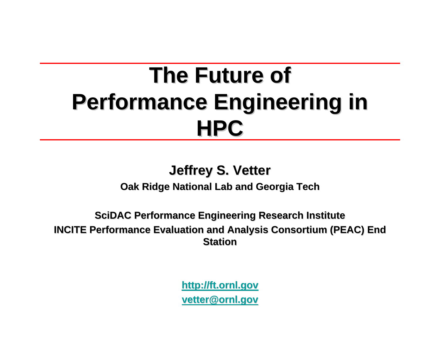# **The Future of Performance Engineering in HPC**

#### **Jeffrey S. Vetter Jeffrey S. Vetter**

**Oak Ridge National Lab and Georgia Tech** 

**SciDAC Performance Engineering Research Institute Performance Engineering Research Institute INCITE Performance Evaluation and Analysis Consortium (PEAC) End INCITE Performance Evaluation and Analysis Consortium (PEAC) End Station Station**

> **http://ft.ornl.gov http://ft.ornl.gov vetter@ornl.gov vetter@ornl.gov**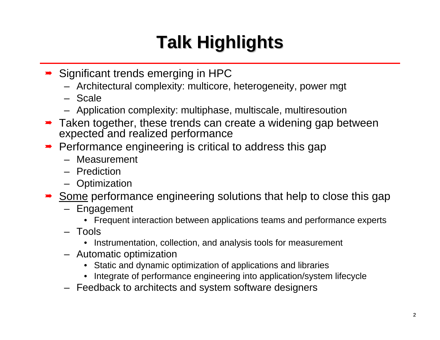# **Talk Highlights Talk Highlights**

- **→ Significant trends emerging in HPC** 
	- Architectural complexity: multicore, heterogeneity, power mgt
	- Scale
	- Application complexity: multiphase, multiscale, multiresoution
- **→** Taken together, these trends can create a widening gap between expected and realized performance
- Performance engineering is critical to address this gap
	- Measurement
	- Prediction
	- Optimization
- Some performance engineering solutions that help to close this gap
	- Engagement
		- Frequent interaction between applications teams and performance experts
	- Tools
		- Instrumentation, collection, and analysis tools for measurement
	- Automatic optimization
		- Static and dynamic optimization of applications and libraries
		- Integrate of performance engineering into application/system lifecycle
	- Feedback to architects and system software designers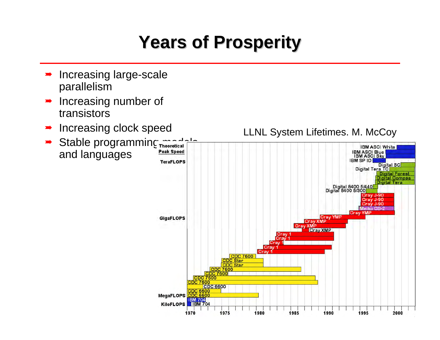## **Years of Prosperity Years of Prosperity**

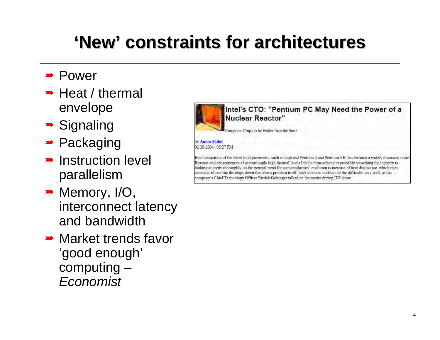## **'New' constraints for architectures constraints for architectures**

- **→ Power**
- $\rightarrow$  Heat / thermal envelope
- $\rightarrow$  Signaling
- **→ Packaging**
- $\rightarrow$  Instruction level parallelism
- $\rightarrow$  Memory, I/O, interconnect latency and bandwidth
- **→ Market trends favor** 'good enough' computing – *Economist*



Heat dissipation of the latest Intel processors, such as high end Pentium 4 and Pentium 4 E, has become a widely discussed issue, Reasons and consequences of astonishingly high thermal levels Intel's chips achieve is probably something the industry 13 looking at pretty thoroughly, as the general trend for semiconductors' evolution is increase of heat dissipation, which rises necessity of cooling the chips down that also a problem itself. Intel seems to understand the difficulty very well, as the company's Chief Technology Officer Patrick Gelsinger talked on the matter during IDF show.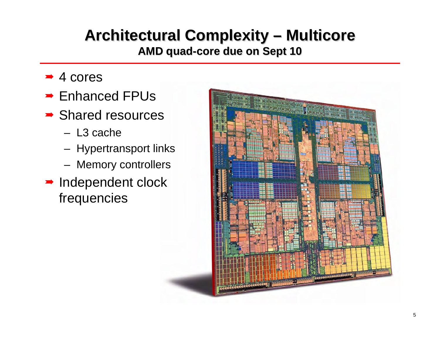#### **Architectural Complexity – Multicore Multicore**

**AMD quad AMD quad -core due on Sept 10 core due on Sept 10**

- $\rightarrow$  4 cores
- **→ Enhanced FPUs**
- **→ Shared resources** 
	- L3 cache
	- Hypertransport links
	- Memory controllers
- $\rightarrow$  Independent clock frequencies

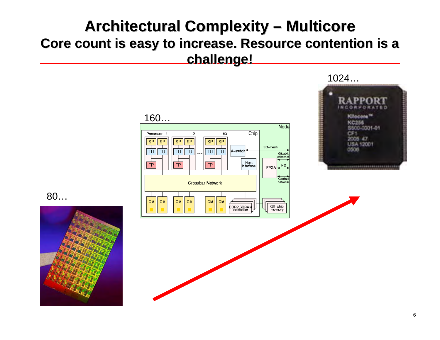#### **Architectural Complexity – Multicore Multicore Core count is easy to increase. Resource contention is a challenge! challenge!**

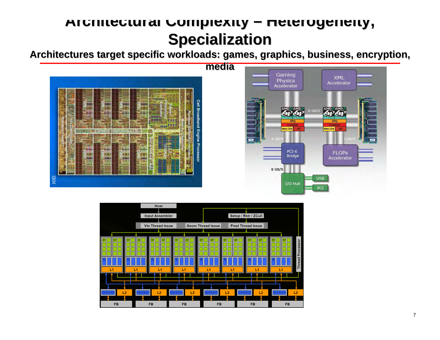#### **Architectural Architectural Complexity Complexity – Heterogeneity Heterogeneity, Specialization Specialization**

Architectures target specific workloads: games, graphics, business, encryption,





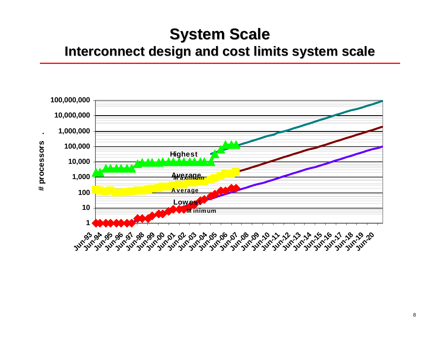### **System Scale System Scale**

#### **Interconnect design and cost limits system scale Interconnect design and cost limits system scale**

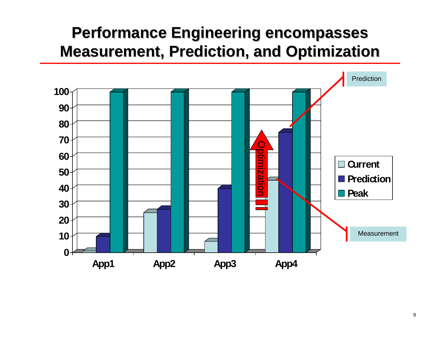### **Performance Engineering encompasses Performance Engineering encompasses Measurement, Prediction, and Optimization Measurement, Prediction, and Optimization**

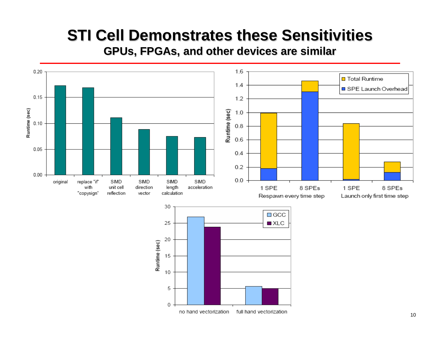### **STI Cell Demonstrates these Sensitivities**

**GPUs, FPGAs, and other devices are similar , and other devices are similar**

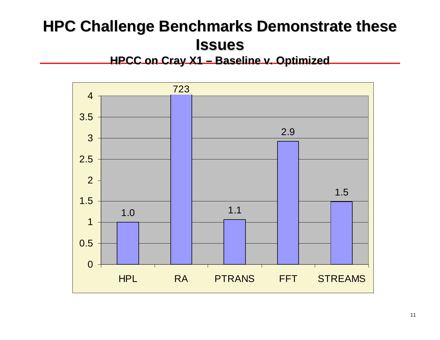## **HPC Challenge Benchmarks Demonstrate these Issues**

#### **HPCC on Cray X1 HPCC on Cray X1 – Baseline v. Optimized Baseline v. Optimized**

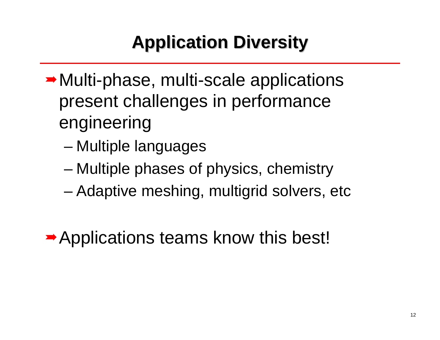# **Application Diversity Application Diversity**

- **→ Multi-phase, multi-scale applications** present challenges in performance engineering
	- –Multiple languages
	- –Multiple phases of physics, chemistry
	- Adaptive meshing, multigrid solvers, etc

**→ Applications teams know this best!**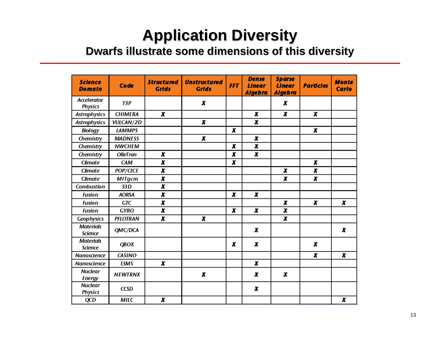## **Application Diversity Application Diversity**

#### **Dwarfs illustrate some dimensions of this diversity illustrate some dimensions of this diversity**

| <b>Science</b><br><b>Domain</b>      | Code             | <b>Structured</b><br><b>Grids</b> | <b>Unstructured</b><br><b>Grids</b> | <b>FFT</b>              | <b>Dense</b><br><b>Linear</b><br><b>Algebra</b> | <b>Sparse</b><br><b>Linear</b><br>Algebra | <b>Particles</b> | <b>Monte</b><br><b>Carlo</b> |
|--------------------------------------|------------------|-----------------------------------|-------------------------------------|-------------------------|-------------------------------------------------|-------------------------------------------|------------------|------------------------------|
| <b>Accelerator</b><br><b>Physics</b> | T3P              |                                   | X                                   |                         |                                                 | x                                         |                  |                              |
| <b>Astrophysics</b>                  | <b>CHIMERA</b>   | x                                 |                                     |                         | X                                               | $\overline{\mathbf{x}}$                   | x                |                              |
| <b>Astrophysics</b>                  | <b>VULCAN/2D</b> |                                   | $\overline{\mathbf{x}}$             |                         | X                                               |                                           |                  |                              |
| <b>Biology</b>                       | <b>LAMMPS</b>    |                                   |                                     | x                       |                                                 |                                           | X                |                              |
| Chemistry                            | <b>MADNESS</b>   |                                   | X                                   |                         | X                                               |                                           |                  |                              |
| Chemistry                            | <b>NWCHEM</b>    |                                   |                                     | X                       | $\overline{\mathbf{x}}$                         |                                           |                  |                              |
| Chemistry                            | <b>OReTran</b>   | X                                 |                                     | X                       | X                                               |                                           |                  |                              |
| <b>Climate</b>                       | CAM              | $\overline{\mathbf{x}}$           |                                     | X                       |                                                 |                                           | X                |                              |
| <b>Climate</b>                       | POP/CICE         | $\overline{\mathbf{x}}$           |                                     |                         |                                                 | X                                         | X                |                              |
| <b>Climate</b>                       | <b>MITgcm</b>    | X                                 |                                     |                         |                                                 | X                                         | x                |                              |
| <b>Combustion</b>                    | S3D              | $\overline{\mathbf{x}}$           |                                     |                         |                                                 |                                           |                  |                              |
| <b>Fusion</b>                        | <b>AORSA</b>     | $\overline{\mathbf{x}}$           |                                     | $\overline{\mathbf{x}}$ | X                                               |                                           |                  |                              |
| <b>Fusion</b>                        | GTC              | X                                 |                                     |                         |                                                 | X                                         | X                | X                            |
| <b>Fusion</b>                        | <b>GYRO</b>      | $\overline{\mathbf{x}}$           |                                     | x                       | X                                               | X                                         |                  |                              |
| Geophysics                           | <b>PFLOTRAN</b>  | $\overline{\mathbf{x}}$           | X                                   |                         |                                                 | X                                         |                  |                              |
| <b>Materials</b><br><b>Science</b>   | QMC/DCA          |                                   |                                     |                         | X                                               |                                           |                  | X                            |
| <b>Materials</b><br><b>Science</b>   | QBOX             |                                   |                                     | x                       | X                                               |                                           | X                |                              |
| Nanoscience                          | <b>CASINO</b>    |                                   |                                     |                         |                                                 |                                           | X                | X                            |
| <b>Nanoscience</b>                   | <b>LSMS</b>      | x                                 |                                     |                         | X                                               |                                           |                  |                              |
| <b>Nuclear</b><br><b>Energy</b>      | <b>NEWTRNX</b>   |                                   | x                                   |                         | X                                               | X                                         |                  |                              |
| <b>Nuclear</b><br><b>Physics</b>     | <b>CCSD</b>      |                                   |                                     |                         | X                                               |                                           |                  |                              |
| QCD                                  | <b>MILC</b>      | x                                 |                                     |                         |                                                 |                                           |                  | X                            |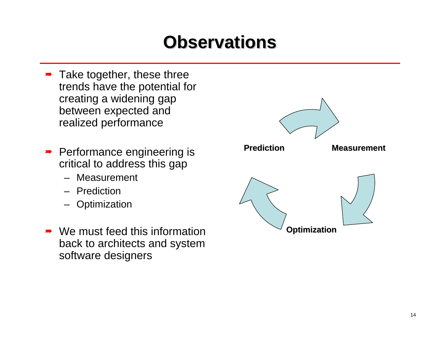## **Observations Observations**

- $\rightarrow$  Take together, these three trends have the potential for creating a widening gap between expected and realized performance
- $\rightarrow$  Performance engineering is critical to address this gap
	- Measurement
	- Prediction
	- Optimization
- $\rightarrow$  We must feed this information back to architects and system software designers

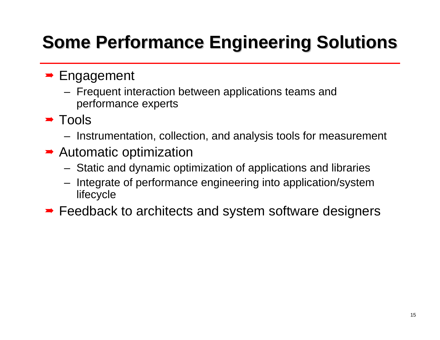# **Some Performance Engineering Solutions**

#### **Engagement**

- Frequent interaction between applications teams and performance experts
- $\rightarrow$  Tools
	- Instrumentation, collection, and analysis tools for measurement
- **→ Automatic optimization** 
	- Static and dynamic optimization of applications and libraries
	- Integrate of performance engineering into application/system lifecycle
- **► Feedback to architects and system software designers**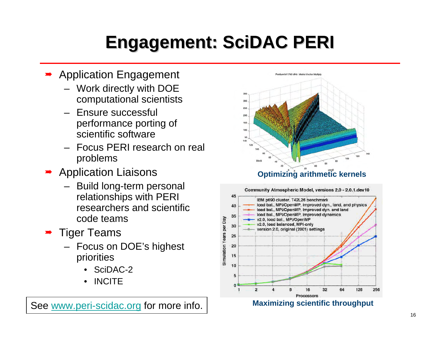# **Engagement: Engagement: SciDAC PERI**

- $\blacktriangleright$  Application Engagement
	- Work directly with DOE computational scientists
	- Ensure successful performance porting of scientific software
	- Focus PERI research on real problems
- $\blacktriangleright$  Application Liaisons
	- Build long-term personal relationships with PERI researchers and scientific code teams
- $\rightarrow$  Tiger Teams
	- Focus on DOE's highest priorities
		- SciDAC-2
		- •**INCITE**

See www.peri-scidac.org for more info.





#### **Maximizing scientific throughput**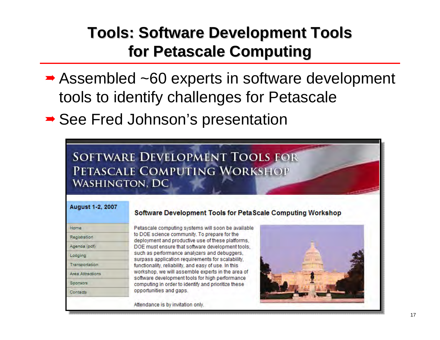## **Tools: Software Development Tools Tools: Software Development Tools for Petascale Petascale Computing Computing**

- **→ Assembled ~60 experts in software development** tools to identify challenges for Petascale
- ► See Fred Johnson's presentation

**SOFTWARE DEVELOPMENT TOOLS FOR** PETASCALE COMPUTING WORKSHOP **WASHINGTON, DC** 

#### **August 1-2, 2007**

| Home             |
|------------------|
| Registration     |
| Agenda (pdf)     |
| Lodging          |
| Transportation   |
| Area Attractions |
| Sponsors         |
| Contacts         |
|                  |

#### **Software Development Tools for PetaScale Computing Workshop**

Petascale computing systems will soon be available to DOE science community. To prepare for the deployment and productive use of these platforms, DOE must ensure that software development tools. such as performance analyzers and debuggers, surpass application requirements for scalability. functionality, reliability, and easy of use. In this workshop, we will assemble experts in the area of software development tools for high performance computing in order to identify and prioritize these opportunities and gaps.

Attendance is by invitation only.

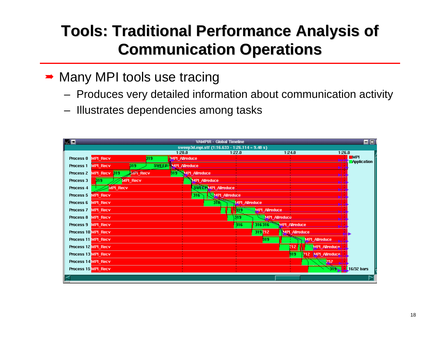## **Tools: Traditional Performance Analysis of Tools: Traditional Performance Analysis of Communication Operations Communication Operations**

- **→ Many MPI tools use tracing** 
	- Produces very detailed information about communication activity
	- Illustrates dependencies among tasks

|                     |                        |                  |                          | <b>VAMPIR - Global Timeline</b>                |        |                      |                      |                      |        | -10                              |
|---------------------|------------------------|------------------|--------------------------|------------------------------------------------|--------|----------------------|----------------------|----------------------|--------|----------------------------------|
|                     |                        |                  | 1:20.0                   | sweep3d.mpi.stf (1:16.633 - 1:26.114 = 9.48 s) | 1:22.0 |                      | 1:24.0               |                      | 1:26.0 |                                  |
| Process 0 MPI Recv  |                        | <b>319</b>       | MPI Allreduce            |                                                |        |                      |                      |                      |        | <b>MPI</b><br><b>Application</b> |
| Process 1 MPI Recv  |                        | $\overline{319}$ | SWEEP MPI_Alreduce       |                                                |        |                      |                      |                      |        |                                  |
|                     | Process 2 MPI_Recv 319 | <b>MPI Recv</b>  | <b>319 MPI Allreduce</b> |                                                |        |                      |                      |                      |        |                                  |
| Process 3           | $\frac{319}{919}$      | MPI Recv         |                          | <b>MPI Allreduce</b>                           |        |                      |                      |                      |        |                                  |
| Process 4           | MPI Recv               |                  |                          | SWEEP MPI_Allreduce                            |        |                      |                      |                      |        |                                  |
| Process 5 MPI Recv  |                        |                  |                          | 316 WMPI Allreduce                             |        |                      |                      |                      |        |                                  |
| Process 6 MPI Recv  |                        |                  |                          | 316 MPI Allreduce                              |        |                      |                      |                      |        |                                  |
| Process 7 MPI Recv  |                        |                  |                          | . .                                            | 319    | <b>MPI_Allreduce</b> |                      |                      |        |                                  |
| Process 8 MPI Recv  |                        |                  |                          |                                                | 319    |                      | MPI_Allreduce        |                      |        |                                  |
| Process 9 MPI Recv  |                        |                  |                          |                                                | 316    | 316316               | <b>MPI Allreduce</b> |                      |        |                                  |
| Process 10 MPI Recv |                        |                  |                          |                                                |        | 319212               | <b>MPI Allreduce</b> |                      |        |                                  |
| Process 11 MPI Recv |                        |                  |                          |                                                |        | 那                    |                      | <b>MPI Allreduce</b> |        |                                  |
| Process 12 MPI Recv |                        |                  |                          |                                                |        |                      | <b>There</b><br>212  | <b>MPI Allreduce</b> |        |                                  |
| Process 13 MPI Recv |                        |                  |                          |                                                |        |                      | 319                  | 212 MPI Allreduce    |        |                                  |
| Process 14 MPI Recv |                        |                  |                          |                                                |        |                      |                      | 257                  |        |                                  |
| Process 15 MPI Recv |                        |                  |                          |                                                |        |                      |                      | <b>CEE</b>           |        | $\sqrt{16/32}$ bars              |
|                     |                        |                  |                          |                                                |        |                      |                      |                      |        |                                  |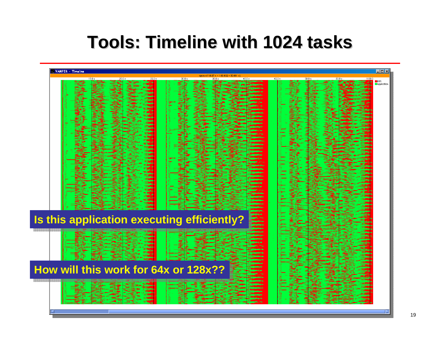## **Tools: Timeline with 1024 tasks Tools: Timeline with 1024 tasks**

| 1:00.0<br>s<br>Is this application executing efficiently?<br>How will this work for 64x or 128x?? | VAMPIR - Timeline | $\Box$ d $\bm{x}$         |
|---------------------------------------------------------------------------------------------------|-------------------|---------------------------|
|                                                                                                   |                   | MPI<br><b>Application</b> |
|                                                                                                   |                   |                           |
|                                                                                                   |                   |                           |
|                                                                                                   |                   |                           |
|                                                                                                   |                   |                           |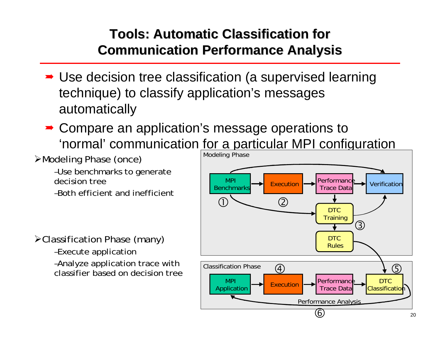#### **Tools: Automatic Classification for Tools: Automatic Classification for Communication Performance Analysis Communication Performance Analysis**

- **→ Use decision tree classification (a supervised learning** technique) to classify application's messages automatically
- **► Compare an application's message operations to** 'normal' communication for a particular MPI configuration

¾Modeling Phase (once)

–Use benchmarks to generate decision tree

–Both efficient and inefficient

¾Classification Phase (many)

–Execute application

–Analyze application trace with classifier based on decision tree

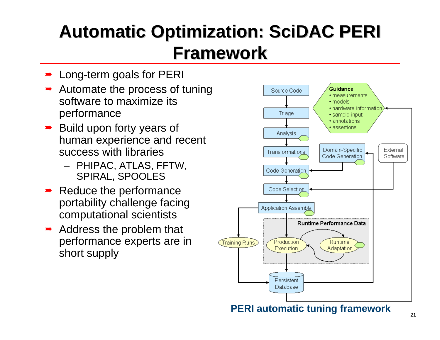## **Automatic Optimization: Automatic Optimization: SciDAC PERI Framework Framework**

- $\blacktriangleright$ Long-term goals for PERI
- **→** Automate the process of tuning software to maximize its performance
- $\rightarrow$  Build upon forty years of human experience and recent success with libraries
	- PHIPAC, ATLAS, FFTW, SPIRAL, SPOOLES
- $\blacktriangleright$  Reduce the performance portability challenge facing computational scientists
- $\rightarrow$  Address the problem that performance experts are in short supply



**PERI automatic tuning framework**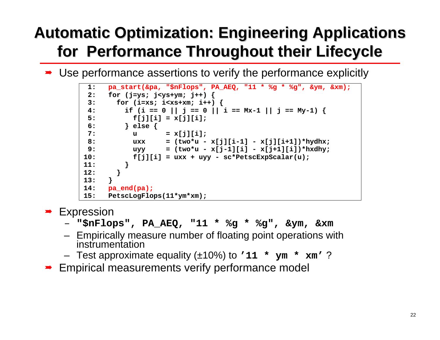## **Automatic Optimization: Engineering Applications for Performance Throughout their Lifecycle for Performance Throughout their Lifecycle**

**→** Use performance assertions to verify the performance explicitly

```
 1: pa_start(&pa, "$nFlops", PA_AEQ, "11 * %g * %g", &ym, &xm);
  2: for (j=ys; j<ys+ym; j++) { 
  3: for (i=xs; i<xs+xm; i++) { 
  4: if (i == 0 || j == 0 || i == Mx-1 || j == My-1) { 
  5: f[j][i] = x[j][i]; 
  6: } else { 
 7: \qquad \qquad u \qquad \qquad = \mathbf{x}[j][i];8: uxx = (two*u - x[j][i-1] - x[j][i+1]) * hydhx;9: uyy = (two*u - x[j-1][i] - x[j+1][i]) * hxdhy;10: f[j][i] = uxx + uyy - sc*PetscExpScalar(u); 
11: } 
12: } 
13: } 
14: pa_end(pa);
15: PetscLogFlops(11*ym*xm);
```
**Expression** 

- **"\$nFlops", PA\_AEQ, "11 \* %g \* %g", &ym, &xm**
- Empirically measure number of floating point operations with instrumentation
- Test approximate equality (±10%) to **'11 \* ym \* xm'** ?
- **► Empirical measurements verify performance model**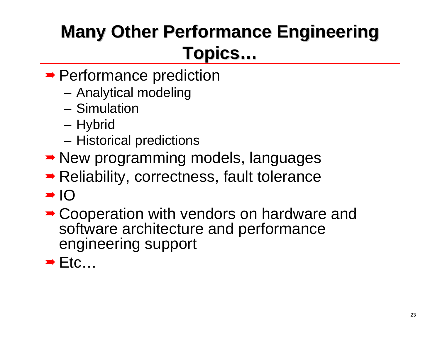# **Many Other Performance Engineering Topics …**

- **► Performance prediction** 
	- –Analytical modeling
	- Simulation
	- Hybrid
	- Historical predictions
- **► New programming models, languages**
- **► Reliability, correctness, fault tolerance**
- $\rightarrow$  IO
- **► Cooperation with vendors on hardware and** software architecture and performance engineering support
- $\rightarrow$  Etc...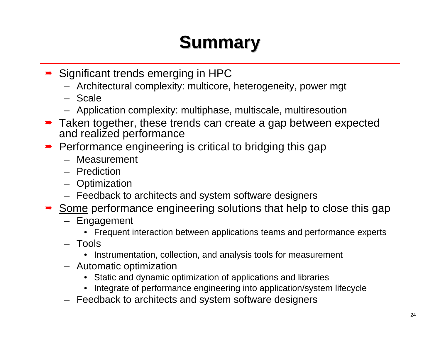## **Summary Summary**

- **→ Significant trends emerging in HPC** 
	- Architectural complexity: multicore, heterogeneity, power mgt
	- Scale
	- Application complexity: multiphase, multiscale, multiresoution
- **→** Taken together, these trends can create a gap between expected and realized performance
- Performance engineering is critical to bridging this gap
	- Measurement
	- Prediction
	- Optimization
	- Feedback to architects and system software designers
- Some performance engineering solutions that help to close this gap
	- Engagement
		- Frequent interaction between applications teams and performance experts
	- Tools
		- Instrumentation, collection, and analysis tools for measurement
	- Automatic optimization
		- Static and dynamic optimization of applications and libraries
		- Integrate of performance engineering into application/system lifecycle
	- Feedback to architects and system software designers